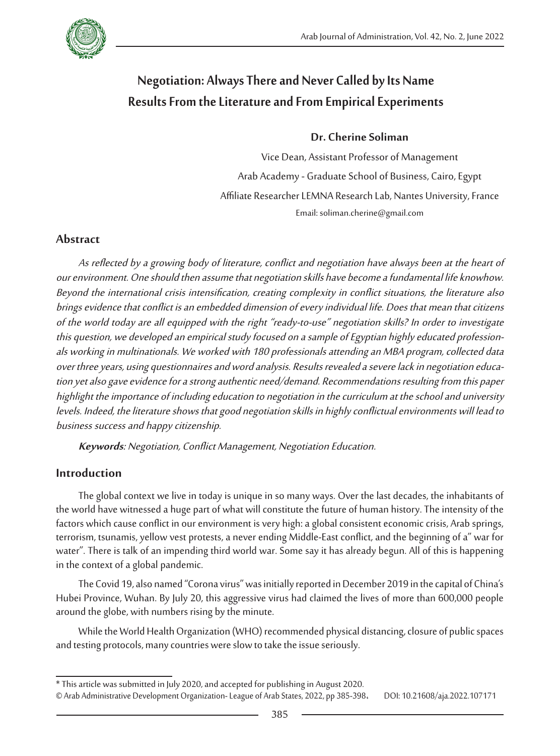

# **Negotiation: Always There and Never Called by Its Name Results From the Literature and From Empirical Experiments**

### **Dr. Cherine Soliman**

Vice Dean, Assistant Professor of Management Arab Academy - Graduate School of Business, Cairo, Egypt Affiliate Researcher LEMNA Research Lab, Nantes University, France Email: soliman.cherine@gmail.com

## **Abstract**

As reflected by a growing body of literature, conflict and negotiation have always been at the heart of our environment. One should then assume that negotiation skills have become a fundamental life knowhow. Beyond the international crisis intensification, creating complexity in conflict situations, the literature also brings evidence that conflict is an embedded dimension of every individual life. Does that mean that citizens of the world today are all equipped with the right "ready-to-use" negotiation skills? In order to investigate this question, we developed an empirical study focused on a sample of Egyptian highly educated professionals working in multinationals. We worked with 180 professionals attending an MBA program, collected data over three years, using questionnaires and word analysis. Results revealed a severe lack in negotiation education yet also gave evidence for a strong authentic need/demand. Recommendations resulting from this paper highlight the importance of including education to negotiation in the curriculum at the school and university levels. Indeed, the literature shows that good negotiation skills in highly conflictual environments will lead to business success and happy citizenship.

**Keywords**: Negotiation, Conflict Management, Negotiation Education.

## **Introduction**

The global context we live in today is unique in so many ways. Over the last decades, the inhabitants of the world have witnessed a huge part of what will constitute the future of human history. The intensity of the factors which cause conflict in our environment is very high: a global consistent economic crisis, Arab springs, terrorism, tsunamis, yellow vest protests, a never ending Middle-East conflict, and the beginning of a" war for water". There is talk of an impending third world war. Some say it has already begun. All of this is happening in the context of a global pandemic.

The Covid 19, also named "Corona virus" was initially reported in December 2019 in the capital of China's Hubei Province, Wuhan. By July 20, this aggressive virus had claimed the lives of more than 600,000 people around the globe, with numbers rising by the minute.

While the World Health Organization (WHO) recommended physical distancing, closure of public spaces and testing protocols, many countries were slow to take the issue seriously.

<sup>\*</sup> This article was submitted in July 2020, and accepted for publishing in August 2020.

<sup>©</sup> Arab Administrative Development Organization- League of Arab States, 2022, pp 385-398، DOI: 10.21608/aja.2022.107171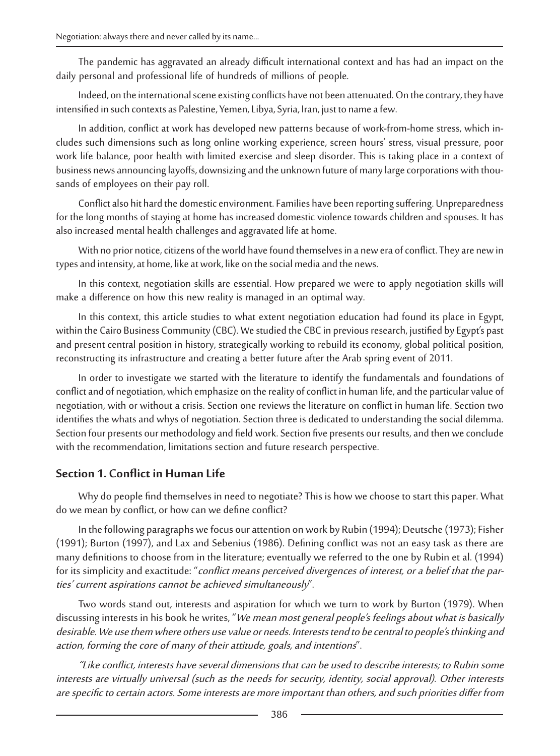The pandemic has aggravated an already difficult international context and has had an impact on the daily personal and professional life of hundreds of millions of people.

Indeed, on the international scene existing conflicts have not been attenuated. On the contrary, they have intensified in such contexts as Palestine, Yemen, Libya, Syria, Iran, just to name a few.

In addition, conflict at work has developed new patterns because of work-from-home stress, which includes such dimensions such as long online working experience, screen hours' stress, visual pressure, poor work life balance, poor health with limited exercise and sleep disorder. This is taking place in a context of business news announcing layoffs, downsizing and the unknown future of many large corporations with thousands of employees on their pay roll.

Conflict also hit hard the domestic environment. Families have been reporting suffering. Unpreparedness for the long months of staying at home has increased domestic violence towards children and spouses. It has also increased mental health challenges and aggravated life at home.

With no prior notice, citizens of the world have found themselves in a new era of conflict. They are new in types and intensity, at home, like at work, like on the social media and the news.

In this context, negotiation skills are essential. How prepared we were to apply negotiation skills will make a difference on how this new reality is managed in an optimal way.

In this context, this article studies to what extent negotiation education had found its place in Egypt, within the Cairo Business Community (CBC). We studied the CBC in previous research, justified by Egypt's past and present central position in history, strategically working to rebuild its economy, global political position, reconstructing its infrastructure and creating a better future after the Arab spring event of 2011.

In order to investigate we started with the literature to identify the fundamentals and foundations of conflict and of negotiation, which emphasize on the reality of conflict in human life, and the particular value of negotiation, with or without a crisis. Section one reviews the literature on conflict in human life. Section two identifies the whats and whys of negotiation. Section three is dedicated to understanding the social dilemma. Section four presents our methodology and field work. Section five presents our results, and then we conclude with the recommendation, limitations section and future research perspective.

## **Section 1. Conflict in Human Life**

Why do people find themselves in need to negotiate? This is how we choose to start this paper. What do we mean by conflict, or how can we define conflict?

In the following paragraphs we focus our attention on work by Rubin (1994); Deutsche (1973); Fisher (1991); Burton (1997), and Lax and Sebenius (1986). Defining conflict was not an easy task as there are many definitions to choose from in the literature; eventually we referred to the one by Rubin et al. (1994) for its simplicity and exactitude: "conflict means perceived divergences of interest, or a belief that the parties' current aspirations cannot be achieved simultaneously".

Two words stand out, interests and aspiration for which we turn to work by Burton (1979). When discussing interests in his book he writes, "We mean most general people's feelings about what is basically desirable. We use them where others use value or needs. Interests tend to be central to people's thinking and action, forming the core of many of their attitude, goals, and intentions".

"Like conflict, interests have several dimensions that can be used to describe interests; to Rubin some interests are virtually universal (such as the needs for security, identity, social approval). Other interests are specific to certain actors. Some interests are more important than others, and such priorities differ from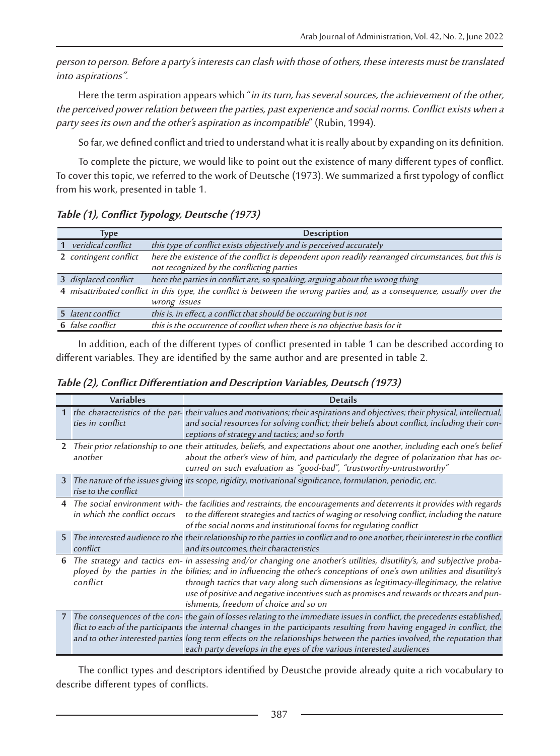person to person. Before a party's interests can clash with those of others, these interests must be translated into aspirations".

Here the term aspiration appears which "in its turn, has several sources, the achievement of the other, the perceived power relation between the parties, past experience and social norms. Conflict exists when a party sees its own and the other's aspiration as incompatible" (Rubin, 1994).

So far, we defined conflict and tried to understand what it is really about by expanding on its definition.

To complete the picture, we would like to point out the existence of many different types of conflict. To cover this topic, we referred to the work of Deutsche (1973). We summarized a first typology of conflict from his work, presented in table 1.

| Type                     | <b>Description</b>                                                                                                       |
|--------------------------|--------------------------------------------------------------------------------------------------------------------------|
| 1 veridical conflict     | this type of conflict exists objectively and is perceived accurately                                                     |
| 2 contingent conflict    | here the existence of the conflict is dependent upon readily rearranged circumstances, but this is                       |
|                          | not recognized by the conflicting parties                                                                                |
| 3 displaced conflict     | here the parties in conflict are, so speaking, arguing about the wrong thing                                             |
|                          | 4 misattributed conflict in this type, the conflict is between the wrong parties and, as a consequence, usually over the |
|                          | wrong issues                                                                                                             |
| 5 <i>latent conflict</i> | this is, in effect, a conflict that should be occurring but is not                                                       |
| 6 false conflict         | this is the occurrence of conflict when there is no objective basis for it                                               |

**Table (1), Conflict Typology, Deutsche (1973)**

In addition, each of the different types of conflict presented in table 1 can be described according to different variables. They are identified by the same author and are presented in table 2.

| Table (2), Conflict Differentiation and Description Variables, Deutsch (1973) |  |
|-------------------------------------------------------------------------------|--|
|-------------------------------------------------------------------------------|--|

|              | <b>Variables</b>     | <b>Details</b>                                                                                                                                                                                                                                                                                                                                                                                                                                                                       |
|--------------|----------------------|--------------------------------------------------------------------------------------------------------------------------------------------------------------------------------------------------------------------------------------------------------------------------------------------------------------------------------------------------------------------------------------------------------------------------------------------------------------------------------------|
|              | ties in conflict     | 1 the characteristics of the par-their values and motivations; their aspirations and objectives; their physical, intellectual,<br>and social resources for solving conflict; their beliefs about conflict, including their con-<br>ceptions of strategy and tactics; and so forth                                                                                                                                                                                                    |
| $\mathbf{2}$ | another              | Their prior relationship to one their attitudes, beliefs, and expectations about one another, including each one's belief<br>about the other's view of him, and particularly the degree of polarization that has oc-<br>curred on such evaluation as "good-bad", "trustworthy-untrustworthy"                                                                                                                                                                                         |
|              | rise to the conflict | 3 The nature of the issues giving its scope, rigidity, motivational significance, formulation, periodic, etc.                                                                                                                                                                                                                                                                                                                                                                        |
|              |                      | 4 The social environment with- the facilities and restraints, the encouragements and deterrents it provides with regards<br>in which the conflict occurs to the different strategies and tactics of waging or resolving conflict, including the nature<br>of the social norms and institutional forms for regulating conflict                                                                                                                                                        |
|              | conflict             | 5 The interested audience to the their relationship to the parties in conflict and to one another, their interest in the conflict<br>and its outcomes, their characteristics                                                                                                                                                                                                                                                                                                         |
| 6            | conflict             | The strategy and tactics em- in assessing and/or changing one another's utilities, disutility's, and subjective proba-<br>ployed by the parties in the bilities; and in influencing the other's conceptions of one's own utilities and disutility's<br>through tactics that vary along such dimensions as legitimacy-illegitimacy, the relative<br>use of positive and negative incentives such as promises and rewards or threats and pun-<br>ishments, freedom of choice and so on |
|              |                      | 7 The consequences of the con- the gain of losses relating to the immediate issues in conflict, the precedents established,<br>flict to each of the participants the internal changes in the participants resulting from having engaged in conflict, the<br>and to other interested parties long term effects on the relationships between the parties involved, the reputation that<br>each party develops in the eyes of the various interested audiences                          |

The conflict types and descriptors identified by Deustche provide already quite a rich vocabulary to describe different types of conflicts.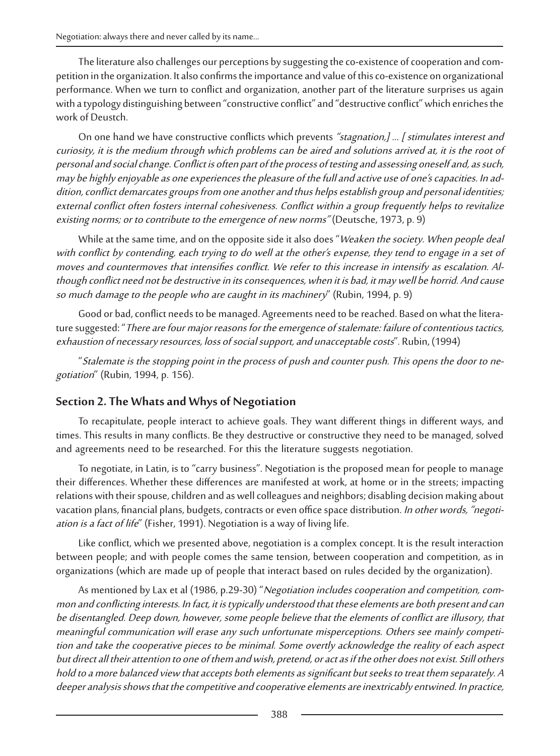The literature also challenges our perceptions by suggesting the co-existence of cooperation and competition in the organization. It also confirms the importance and value of this co-existence on organizational performance. When we turn to conflict and organization, another part of the literature surprises us again with a typology distinguishing between "constructive conflict" and "destructive conflict" which enriches the work of Deustch.

On one hand we have constructive conflicts which prevents "stagnation,] ... [ stimulates interest and curiosity, it is the medium through which problems can be aired and solutions arrived at, it is the root of personal and social change. Conflict is often part of the process of testing and assessing oneself and, as such, may be highly enjoyable as one experiences the pleasure of the full and active use of one's capacities. In ad dition, conflict demarcates groups from one another and thus helps establish group and personal identities; external conflict often fosters internal cohesiveness. Conflict within a group frequently helps to revitalize existing norms; or to contribute to the emergence of new norms" (Deutsche, 1973, p. 9)

While at the same time, and on the opposite side it also does "Weaken the society. When people deal with conflict by contending, each trying to do well at the other's expense, they tend to engage in a set of moves and countermoves that intensifies conflict. We refer to this increase in intensify as escalation. Although conflict need not be destructive in its consequences, when it is bad, it may well be horrid. And cause so much damage to the people who are caught in its machinery" (Rubin, 1994, p. 9)

Good or bad, conflict needs to be managed. Agreements need to be reached. Based on what the litera-<br>ture suggested: "There are four major reasons for the emergence of stalemate: failure of contentious tactics, exhaustion of necessary resources, loss of social support, and unacceptable costs". Rubin, (1994)

"Stalemate is the stopping point in the process of push and counter push. This opens the door to negotiation" (Rubin, 1994, p. 156).

## **Section 2. The Whats and Whys of Negotiation**

To recapitulate, people interact to achieve goals. They want different things in different ways, and times. This results in many conflicts. Be they destructive or constructive they need to be managed, solved and agreements need to be researched. For this the literature suggests negotiation.

To negotiate, in Latin, is to "carry business". Negotiation is the proposed mean for people to manage their differences. Whether these differences are manifested at work, at home or in the streets; impacting relations with their spouse, children and as well colleagues and neighbors; disabling decision making about vacation plans, financial plans, budgets, contracts or even office space distribution. In other words, "negotiation is a fact of life" (Fisher, 1991). Negotiation is a way of living life.

Like conflict, which we presented above, negotiation is a complex concept. It is the result interaction between people; and with people comes the same tension, between cooperation and competition, as in organizations (which are made up of people that interact based on rules decided by the organization).

As mentioned by Lax et al (1986, p.29-30) "Negotiation includes cooperation and competition, common and conflicting interests. In fact, it is typically understood that these elements are both present and can be disentangled. Deep down, however, some people believe that the elements of conflict are illusory, that meaningful communication will erase any such unfortunate misperceptions. Others see mainly competi tion and take the cooperative pieces to be minimal. Some overtly acknowledge the reality of each aspect but direct all their attention to one of them and wish, pretend, or act as if the other does not exist. Still others hold to a more balanced view that accepts both elements as significant but seeks to treat them separately. A deeper analysis shows that the competitive and cooperative elements are inextricably entwined. In practice,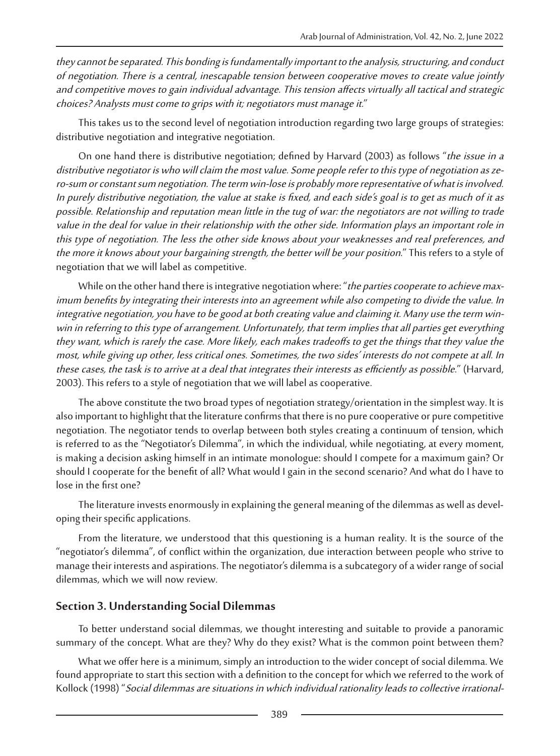they cannot be separated. This bonding is fundamentally important to the analysis, structuring, and conduct of negotiation. There is a central, inescapable tension between cooperative moves to create value jointly and competitive moves to gain individual advantage. This tension affects virtually all tactical and strategic choices? Analysts must come to grips with it; negotiators must manage it."

This takes us to the second level of negotiation introduction regarding two large groups of strategies: distributive negotiation and integrative negotiation.

On one hand there is distributive negotiation; defined by Harvard (2003) as follows "the issue in a distributive negotiator is who will claim the most value. Some people refer to this type of negotiation as zero-sum or constant sum negotiation. The term win-lose is probably more representative of what is involved. In purely distributive negotiation, the value at stake is fixed, and each side's goal is to get as much of it as possible. Relationship and reputation mean little in the tug of war: the negotiators are not willing to trade value in the deal for value in their relationship with the other side. Information plays an important role in this type of negotiation. The less the other side knows about your weaknesses and real preferences, and the more it knows about your bargaining strength, the better will be your position." This refers to a style of negotiation that we will label as competitive.

While on the other hand there is integrative negotiation where: "*the parties cooperate to achieve max*imum benefits by integrating their interests into an agreement while also competing to divide the value. In integrative negotiation, you have to be good at both creating value and claiming it. Many use the term winwin in referring to this type of arrangement. Unfortunately, that term implies that all parties get everything they want, which is rarely the case. More likely, each makes tradeoffs to get the things that they value the most, while giving up other, less critical ones. Sometimes, the two sides' interests do not compete at all. In these cases, the task is to arrive at a deal that integrates their interests as efficiently as possible." (Harvard, 2003). This refers to a style of negotiation that we will label as cooperative.

The above constitute the two broad types of negotiation strategy/orientation in the simplest way. It is also important to highlight that the literature confirms that there is no pure cooperative or pure competitive negotiation. The negotiator tends to overlap between both styles creating a continuum of tension, which is referred to as the "Negotiator's Dilemma", in which the individual, while negotiating, at every moment, is making a decision asking himself in an intimate monologue: should I compete for a maximum gain? Or should I cooperate for the benefit of all? What would I gain in the second scenario? And what do I have to lose in the first one?

The literature invests enormously in explaining the general meaning of the dilemmas as well as developing their specific applications.

From the literature, we understood that this questioning is a human reality. It is the source of the "negotiator's dilemma", of conflict within the organization, due interaction between people who strive to manage their interests and aspirations. The negotiator's dilemma is a subcategory of a wider range of social dilemmas, which we will now review.

## **Section 3. Understanding Social Dilemmas**

To better understand social dilemmas, we thought interesting and suitable to provide a panoramic summary of the concept. What are they? Why do they exist? What is the common point between them?

What we offer here is a minimum, simply an introduction to the wider concept of social dilemma. We found appropriate to start this section with a definition to the concept for which we referred to the work of Kollock (1998) "Social dilemmas are situations in which individual rationality leads to collective irrational-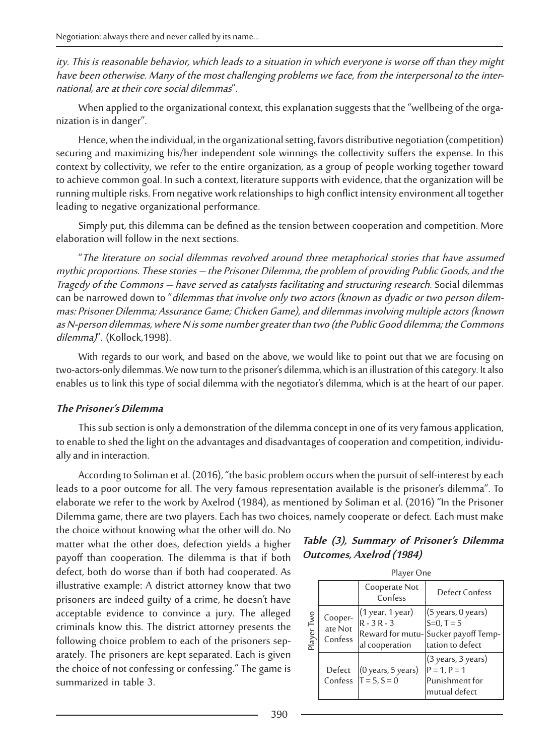#### ity. This is reasonable behavior, which leads to a situation in which everyone is worse off than they might have been otherwise. Many of the most challenging problems we face, from the interpersonal to the inter national, are at their core social dilemmas".

When applied to the organizational context, this explanation suggests that the "wellbeing of the orga- nization is in danger".

Hence, when the individual, in the organizational setting, favors distributive negotiation (competition) securing and maximizing his/her independent sole winnings the collectivity suffers the expense. In this context by collectivity, we refer to the entire organization, as a group of people working together toward to achieve common goal. In such a context, literature supports with evidence, that the organization will be running multiple risks. From negative work relationships to high conflict intensity environment all together leading to negative organizational performance.

Simply put, this dilemma can be defined as the tension between cooperation and competition. More elaboration will follow in the next sections.

"The literature on social dilemmas revolved around three metaphorical stories that have assumed mythic proportions. These stories – the Prisoner Dilemma, the problem of providing Public Goods, and the Tragedy of the Commons – have served as catalysts facilitating and structuring research. Social dilemmas can be narrowed down to "dilemmas that involve only two actors (known as dyadic or two person dilemmas: Prisoner Dilemma; Assurance Game; Chicken Game), and dilemmas involving multiple actors (known as N-person dilemmas, where N is some number greater than two (the Public Good dilemma; the Commons dilemma)". (Kollock, 1998).

With regards to our work, and based on the above, we would like to point out that we are focusing on two-actors-only dilemmas. We now turn to the prisoner's dilemma, which is an illustration of this category. It also enables us to link this type of social dilemma with the negotiator's dilemma, which is at the heart of our paper.

#### **The Prisoner's Dilemma**

This sub section is only a demonstration of the dilemma concept in one of its very famous application, to enable to shed the light on the advantages and disadvantages of cooperation and competition, individu- ally and in interaction.

According to Soliman et al. (2016), "the basic problem occurs when the pursuit of self-interest by each leads to a poor outcome for all. The very famous representation available is the prisoner's dilemma". To elaborate we refer to the work by Axelrod (1984), as mentioned by Soliman et al. (2016) "In the Prisoner Dilemma game, there are two players. Each has two choices, namely cooperate or defect. Each must make

the choice without knowing what the other will do. No matter what the other does, defection yields a higher payoff than cooperation. The dilemma is that if both defect, both do worse than if both had cooperated. As illustrative example: A district attorney know that two prisoners are indeed guilty of a crime, he doesn't have acceptable evidence to convince a jury. The alleged criminals know this. The district attorney presents the following choice problem to each of the prisoners sep- arately. The prisoners are kept separated. Each is given the choice of not confessing or confessing." The game is summarized in table 3.

#### **Table (3), Summary of Prisoner's Dilemma Outcomes, Axelrod (1984)**

|            | Player One                    |                                                    |                                                                                                               |
|------------|-------------------------------|----------------------------------------------------|---------------------------------------------------------------------------------------------------------------|
|            |                               | Cooperate Not<br>Confess                           | <b>Defect Confess</b>                                                                                         |
| Player Two | Cooper-<br>ate Not<br>Confess | (1 year, 1 year)<br>$R - 3R - 3$<br>al cooperation | $(5 \text{ years}, 0 \text{ years})$<br>$S=0. T=5$<br>Reward for mutu-Sucker payoff Temp-<br>tation to defect |
|            | Defect                        | $(0$ years, 5 years)<br>Confess $ T = 5, S = 0$    | $(3 \text{ years}, 3 \text{ years})$<br>$P = 1, P = 1$<br>Punishment for<br>mutual defect                     |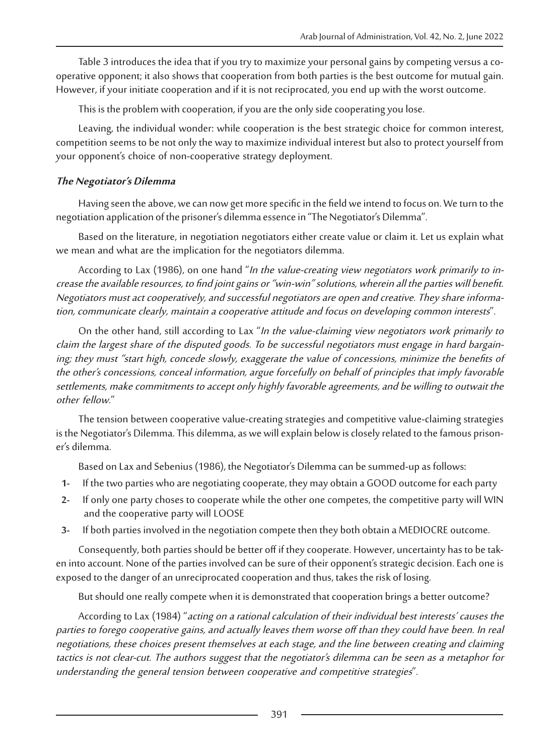Table 3 introduces the idea that if you try to maximize your personal gains by competing versus a cooperative opponent; it also shows that cooperation from both parties is the best outcome for mutual gain. However, if your initiate cooperation and if it is not reciprocated, you end up with the worst outcome.

This is the problem with cooperation, if you are the only side cooperating you lose.

Leaving, the individual wonder: while cooperation is the best strategic choice for common interest, competition seems to be not only the way to maximize individual interest but also to protect yourself from your opponent's choice of non-cooperative strategy deployment.

#### **The Negotiator's Dilemma**

Having seen the above, we can now get more specific in the field we intend to focus on. We turn to the negotiation application of the prisoner's dilemma essence in "The Negotiator's Dilemma".

Based on the literature, in negotiation negotiators either create value or claim it. Let us explain what we mean and what are the implication for the negotiators dilemma.

According to Lax (1986), on one hand "In the value-creating view negotiators work primarily to increase the available resources, to find joint gains or "win-win" solutions, wherein all the parties will benefit. Negotiators must act cooperatively, and successful negotiators are open and creative. They share information, communicate clearly, maintain a cooperative attitude and focus on developing common interests".

On the other hand, still according to Lax "In the value-claiming view negotiators work primarily to claim the largest share of the disputed goods. To be successful negotiators must engage in hard bargain ing; they must "start high, concede slowly, exaggerate the value of concessions, minimize the benefits of the other's concessions, conceal information, argue forcefully on behalf of principles that imply favorable settlements, make commitments to accept only highly favorable agreements, and be willing to outwait the other fellow."

The tension between cooperative value-creating strategies and competitive value-claiming strategies is the Negotiator's Dilemma. This dilemma, as we will explain below is closely related to the famous prison- er's dilemma.

Based on Lax and Sebenius (1986), the Negotiator's Dilemma can be summed-up as follows:

- **1-** If the two parties who are negotiating cooperate, they may obtain a GOOD outcome for each party
- **2-** If only one party choses to cooperate while the other one competes, the competitive party will WIN and the cooperative party will LOOSE
- **3-** If both parties involved in the negotiation compete then they both obtain a MEDIOCRE outcome.

Consequently, both parties should be better off if they cooperate. However, uncertainty has to be taken into account. None of the parties involved can be sure of their opponent's strategic decision. Each one is exposed to the danger of an unreciprocated cooperation and thus, takes the risk of losing.

But should one really compete when it is demonstrated that cooperation brings a better outcome?

According to Lax (1984) "acting on a rational calculation of their individual best interests' causes the parties to forego cooperative gains, and actually leaves them worse off than they could have been. In real negotiations, these choices present themselves at each stage, and the line between creating and claiming tactics is not clear-cut. The authors suggest that the negotiator's dilemma can be seen as a metaphor for understanding the general tension between cooperative and competitive strategies".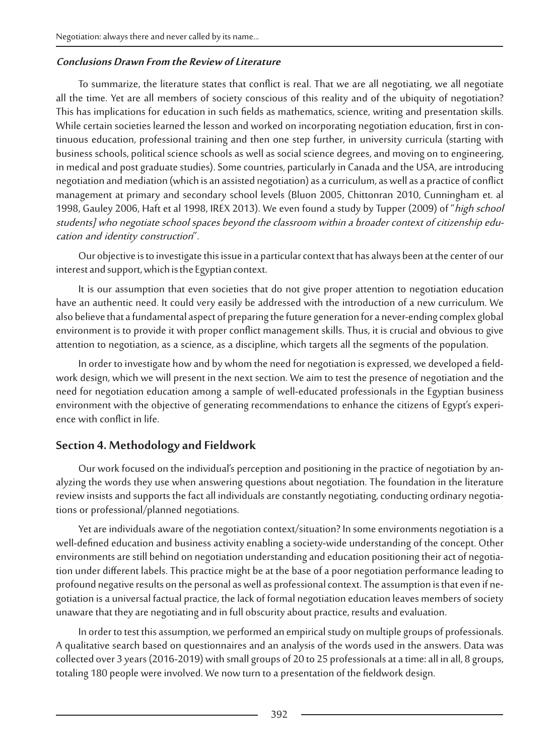#### **Conclusions Drawn From the Review of Literature**

To summarize, the literature states that conflict is real. That we are all negotiating, we all negotiate all the time. Yet are all members of society conscious of this reality and of the ubiquity of negotiation? This has implications for education in such fields as mathematics, science, writing and presentation skills. While certain societies learned the lesson and worked on incorporating negotiation education, first in continuous education, professional training and then one step further, in university curricula (starting with business schools, political science schools as well as social science degrees, and moving on to engineering, in medical and post graduate studies). Some countries, particularly in Canada and the USA, are introducing negotiation and mediation (which is an assisted negotiation) as a curriculum, as well as a practice of conflict management at primary and secondary school levels (Bluon 2005, Chittonran 2010, Cunningham et. al 1998, Gauley 2006, Haft et al 1998, IREX 2013). We even found a study by Tupper (2009) of "high school students] who negotiate school spaces beyond the classroom within a broader context of citizenship edu cation and identity construction".

Our objective is to investigate this issue in a particular context that has always been at the center of our interest and support, which is the Egyptian context.

It is our assumption that even societies that do not give proper attention to negotiation education have an authentic need. It could very easily be addressed with the introduction of a new curriculum. We also believe that a fundamental aspect of preparing the future generation for a never-ending complex global environment is to provide it with proper conflict management skills. Thus, it is crucial and obvious to give attention to negotiation, as a science, as a discipline, which targets all the segments of the population.

In order to investigate how and by whom the need for negotiation is expressed, we developed a fieldwork design, which we will present in the next section. We aim to test the presence of negotiation and the need for negotiation education among a sample of well-educated professionals in the Egyptian business environment with the objective of generating recommendations to enhance the citizens of Egypt's experience with conflict in life.

## **Section 4. Methodology and Fieldwork**

Our work focused on the individual's perception and positioning in the practice of negotiation by analyzing the words they use when answering questions about negotiation. The foundation in the literature review insists and supports the fact all individuals are constantly negotiating, conducting ordinary negotiations or professional/planned negotiations.

Yet are individuals aware of the negotiation context/situation? In some environments negotiation is a well-defined education and business activity enabling a society-wide understanding of the concept. Other environments are still behind on negotiation understanding and education positioning their act of negotiation under different labels. This practice might be at the base of a poor negotiation performance leading to profound negative results on the personal as well as professional context. The assumption is that even if negotiation is a universal factual practice, the lack of formal negotiation education leaves members of society unaware that they are negotiating and in full obscurity about practice, results and evaluation.

In order to test this assumption, we performed an empirical study on multiple groups of professionals. A qualitative search based on questionnaires and an analysis of the words used in the answers. Data was collected over 3 years (2016-2019) with small groups of 20 to 25 professionals at a time: all in all, 8 groups, totaling 180 people were involved. We now turn to a presentation of the fieldwork design.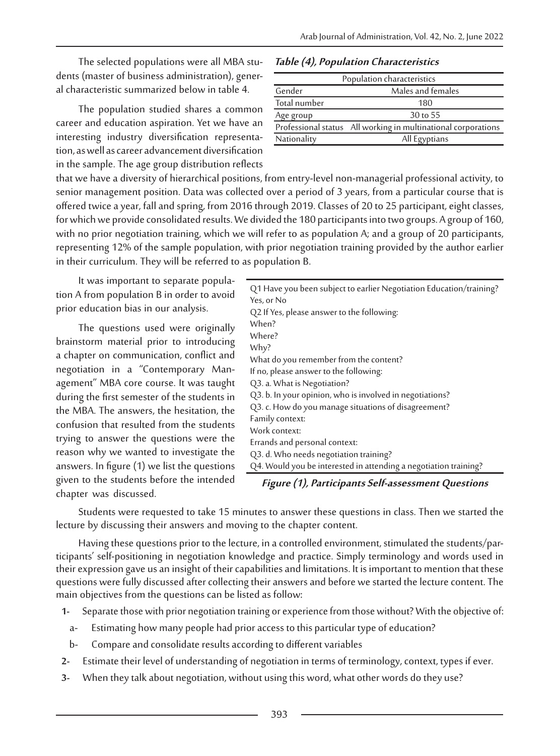The selected populations were all MBA students (master of business administration), general characteristic summarized below in table 4.

The population studied shares a common career and education aspiration. Yet we have an<br>interesting industry diversification representation, as well as career advancement diversification in the sample. The age group distribution reflects

#### **Table (4), Population Characteristics**

| Population characteristics |                                                               |  |
|----------------------------|---------------------------------------------------------------|--|
| Gender                     | Males and females                                             |  |
| Total number               | 180                                                           |  |
| Age group                  | 30 to 55                                                      |  |
|                            | Professional status All working in multinational corporations |  |
| Nationality                | All Egyptians                                                 |  |

that we have a diversity of hierarchical positions, from entry-level non-managerial professional activity, to senior management position. Data was collected over a period of 3 years, from a particular course that is offered twice a year, fall and spring, from 2016 through 2019. Classes of 20 to 25 participant, eight classes, for which we provide consolidated results. We divided the 180 participants into two groups. A group of 160, with no prior negotiation training, which we will refer to as population A; and a group of 20 participants, representing 12% of the sample population, with prior negotiation training provided by the author earlier in their curriculum. They will be referred to as population B.

It was important to separate population A from population B in order to avoid prior education bias in our analysis.

The questions used were originally brainstorm material prior to introducing a chapter on communication, conflict and negotiation in a "Contemporary Man- agement" MBA core course. It was taught during the first semester of the students in the MBA. The answers, the hesitation, the confusion that resulted from the students trying to answer the questions were the reason why we wanted to investigate the answers. In figure (1) we list the questions given to the students before the intended chapter was discussed.

| Q1 Have you been subject to earlier Negotiation Education/training? |
|---------------------------------------------------------------------|
| Yes, or No                                                          |
| Q2 If Yes, please answer to the following:                          |
| When?                                                               |
| Where?                                                              |
| Why?                                                                |
| What do you remember from the content?                              |
| If no, please answer to the following:                              |
| Q3. a. What is Negotiation?                                         |
| Q3. b. In your opinion, who is involved in negotiations?            |
| Q3. c. How do you manage situations of disagreement?                |
| Family context:                                                     |
| Work context:                                                       |
| Errands and personal context:                                       |
| Q3. d. Who needs negotiation training?                              |
| Q4. Would you be interested in attending a negotiation training?    |
|                                                                     |

**Figure (1), Participants Self-assessment Questions**

Students were requested to take 15 minutes to answer these questions in class. Then we started the lecture by discussing their answers and moving to the chapter content.

Having these questions prior to the lecture, in a controlled environment, stimulated the students/par- ticipants' self-positioning in negotiation knowledge and practice. Simply terminology and words used in their expression gave us an insight of their capabilities and limitations. It is important to mention that these questions were fully discussed after collecting their answers and before we started the lecture content. The main objectives from the questions can be listed as follow:

- **1-** Separate those with prior negotiation training or experience from those without? With the objective of:
	- a- Estimating how many people had prior access to this particular type of education?
	- b- Compare and consolidate results according to different variables
- **2-** Estimate their level of understanding of negotiation in terms of terminology, context, types if ever.
- **3-** When they talk about negotiation, without using this word, what other words do they use?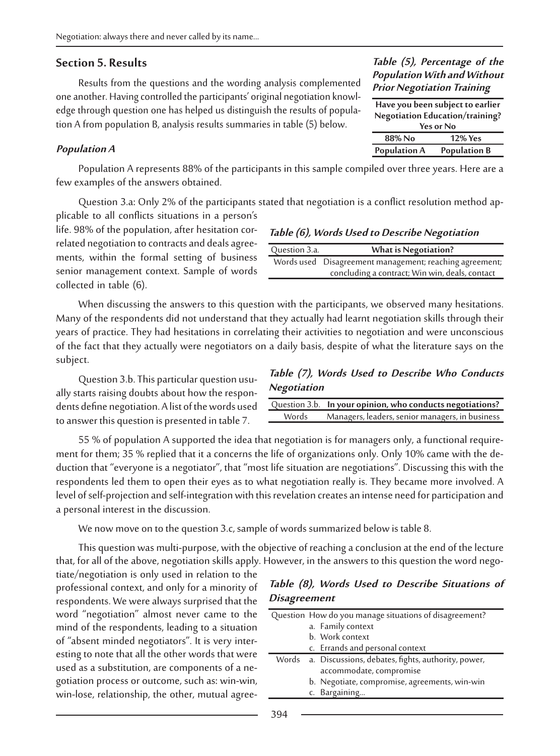#### **Section 5. Results**

Results from the questions and the wording analysis complemented one another. Having controlled the participants' original negotiation knowledge through question one has helped us distinguish the results of population A from population B, analysis results summaries in table (5) below.

#### **Population A**

Population A represents 88% of the participants in this sample compiled over three years. Here are a few examples of the answers obtained.

Question 3.a: Only 2% of the participants stated that negotiation is a conflict resolution method applicable to all conflicts situations in a person's

life. 98% of the population, after hesitation correlated negotiation to contracts and deals agree-<br>ments, within the formal setting of business senior management context. Sample of words collected in table (6).

#### **Table (6), Words Used to Describe Negotiation**

| Question 3.a. | <b>What is Negotiation?</b>                             |
|---------------|---------------------------------------------------------|
|               | Words used Disagreement management; reaching agreement; |
|               | concluding a contract; Win win, deals, contact          |

When discussing the answers to this question with the participants, we observed many hesitations. Many of the respondents did not understand that they actually had learnt negotiation skills through their years of practice. They had hesitations in correlating their activities to negotiation and were unconscious of the fact that they actually were negotiators on a daily basis, despite of what the literature says on the subject.

Question 3.b. This particular question usually starts raising doubts about how the respondents define negotiation. A list of the words used to answer this question is presented in table 7.

**Table (7), Words Used to Describe Who Conducts Negotiation**

|       | Question 3.b. In your opinion, who conducts negotiations? |
|-------|-----------------------------------------------------------|
| Words | Managers, leaders, senior managers, in business           |

55 % of population A supported the idea that negotiation is for managers only, a functional requirement for them; 35 % replied that it a concerns the life of organizations only. Only 10% came with the deduction that "every respondents led them to open their eyes as to what negotiation really is. They became more involved. A level of self-projection and self-integration with this revelation creates an intense need for participation and a personal interest in the discussion.

We now move on to the question 3.c, sample of words summarized below is table 8.

This question was multi-purpose, with the objective of reaching a conclusion at the end of the lecture that, for all of the above, negotiation skills apply. However, in the answers to this question the word nego- tiate/negotiation is only used in relation to the

professional context, and only for a minority of respondents. We were always surprised that the word "negotiation" almost never came to the mind of the respondents, leading to a situation<br>of "absent minded negotiators". It is very interesting to note that all the other words that were<br>used as a substitution, are components of a negotiation process or outcome, such as: win-win, win-lose, relationship, the other, mutual agree-

#### **Table (8), Words Used to Describe Situations of Disagreement**

| Question How do you manage situations of disagreement?                              |  |
|-------------------------------------------------------------------------------------|--|
| a. Family context                                                                   |  |
| b. Work context                                                                     |  |
| c. Errands and personal context                                                     |  |
| Words a. Discussions, debates, fights, authority, power,<br>accommodate, compromise |  |
| b. Negotiate, compromise, agreements, win-win<br>c. Bargaining                      |  |
|                                                                                     |  |

#### **Table (5), Percentage of the Population With and Without Prior Negotiation Training**

| Have you been subject to earlier |                     |  |
|----------------------------------|---------------------|--|
| Negotiation Education/training?  |                     |  |
| Yes or No                        |                     |  |
| 88% No                           | <b>12% Yes</b>      |  |
| <b>Population A</b>              | <b>Population B</b> |  |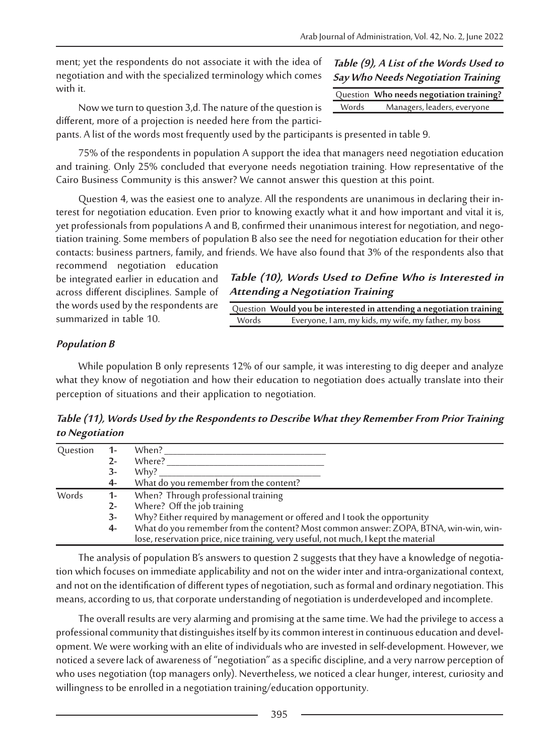ment; yet the respondents do not associate it with the idea of negotiation and with the specialized terminology which comes with it.

Now we turn to question 3,d. The nature of the question is different, more of a projection is needed here from the partici-

#### **Table (9), A List of the Words Used to Say Who Needs Negotiation Training**

|       | Question Who needs negotiation training? |
|-------|------------------------------------------|
| Words | Managers, leaders, everyone              |

pants. A list of the words most frequently used by the participants is presented in table 9.

75% of the respondents in population A support the idea that managers need negotiation education and training. Only 25% concluded that everyone needs negotiation training. How representative of the Cairo Business Community is this answer? We cannot answer this question at this point.

Question 4, was the easiest one to analyze. All the respondents are unanimous in declaring their in-<br>terest for negotiation education. Even prior to knowing exactly what it and how important and vital it is,<br>yet profession tiation training. Some members of population B also see the need for negotiation education for their other contacts: business partners, family, and friends. We have also found that 3% of the respondents also that

recommend negotiation education be integrated earlier in education and across different disciplines. Sample of the words used by the respondents are summarized in table 10.

### **Table (10), Words Used to Define Who is Interested in Attending a Negotiation Training**

Question **Would you be interested in attending a negotiation training** Everyone, I am, my kids, my wife, my father, my boss

## **Population B**

While population B only represents 12% of our sample, it was interesting to dig deeper and analyze what they know of negotiation and how their education to negotiation does actually translate into their perception of situations and their application to negotiation.

**Table (11), Words Used by the Respondents to Describe What they Remember From Prior Training to Negotiation**

| Question | $1 -$ | When?                                                                                |
|----------|-------|--------------------------------------------------------------------------------------|
|          |       | Where?                                                                               |
|          | 3-    | Why?                                                                                 |
|          | 4-    | What do you remember from the content?                                               |
| Words    | $1 -$ | When? Through professional training                                                  |
|          | 2-    | Where? Off the job training                                                          |
|          | 3-    | Why? Either required by management or offered and I took the opportunity             |
|          | 4-    | What do you remember from the content? Most common answer: ZOPA, BTNA, win-win, win- |
|          |       | lose, reservation price, nice training, very useful, not much, I kept the material   |

The analysis of population B's answers to question 2 suggests that they have a knowledge of negotiation which focuses on immediate applicability and not on the wider inter and intra-organizational context, and not on the identification of different types of negotiation, such as formal and ordinary negotiation. This means, according to us, that corporate understanding of negotiation is underdeveloped and incomplete.

The overall results are very alarming and promising at the same time. We had the privilege to access a professional community that distinguishes itself by its common interest in continuous education and devel- opment. We were working with an elite of individuals who are invested in self-development. However, we noticed a severe lack of awareness of "negotiation" as a specific discipline, and a very narrow perception of who uses negotiation (top managers only). Nevertheless, we noticed a clear hunger, interest, curiosity and willingness to be enrolled in a negotiation training/education opportunity.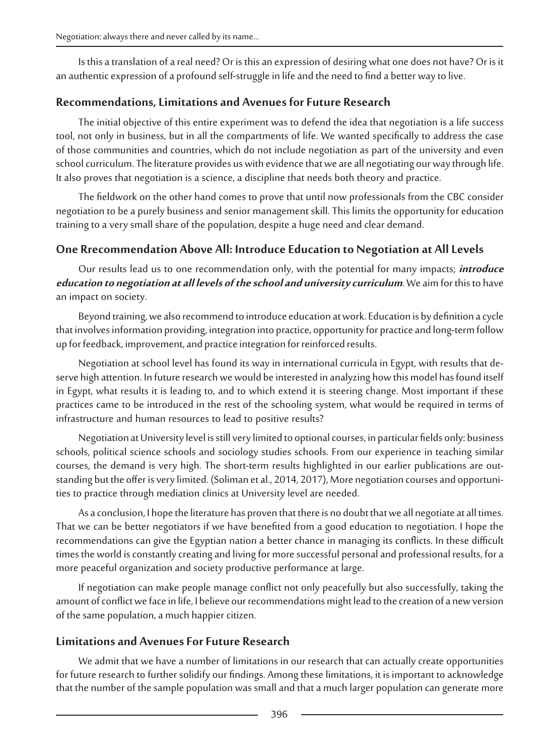Is this a translation of a real need? Or is this an expression of desiring what one does not have? Or is it an authentic expression of a profound self-struggle in life and the need to find a better way to live.

## **Recommendations, Limitations and Avenues for Future Research**

The initial objective of this entire experiment was to defend the idea that negotiation is a life success tool, not only in business, but in all the compartments of life. We wanted specifically to address the case of those communities and countries, which do not include negotiation as part of the university and even school curriculum. The literature provides us with evidence that we are all negotiating our way through life. It also proves that negotiation is a science, a discipline that needs both theory and practice.

The fieldwork on the other hand comes to prove that until now professionals from the CBC consider negotiation to be a purely business and senior management skill. This limits the opportunity for education training to a very small share of the population, despite a huge need and clear demand.

# **One Rrecommendation Above All: Introduce Education to Negotiation at All Levels**

Our results lead us to one recommendation only, with the potential for many impacts; **introduce education to negotiation at all levels of the school and university curriculum**. We aim for this to have an impact on society.

Beyond training, we also recommend to introduce education at work. Education is by definition a cycle that involves information providing, integration into practice, opportunity for practice and long-term follow up for feedback, improvement, and practice integration for reinforced results.

Negotiation at school level has found its way in international curricula in Egypt, with results that de- serve high attention. In future research we would be interested in analyzing how this model has found itself in Egypt, what results it is leading to, and to which extend it is steering change. Most important if these practices came to be introduced in the rest of the schooling system, what would be required in terms of infrastructure and human resources to lead to positive results?

Negotiation at University level is still very limited to optional courses, in particular fields only: business schools, political science schools and sociology studies schools. From our experience in teaching similar<br>courses, the demand is very high. The short-term results highlighted in our earlier publications are outstanding but the offer is very limited. (Soliman et al., 2014, 2017), More negotiation courses and opportuni-<br>ties to practice through mediation clinics at University level are needed.

As a conclusion, I hope the literature has proven that there is no doubt that we all negotiate at all times. That we can be better negotiators if we have benefited from a good education to negotiation. I hope the recommendations can give the Egyptian nation a better chance in managing its conflicts. In these difficult times the world is constantly creating and living for more successful personal and professional results, for a more peaceful organization and society productive performance at large.

If negotiation can make people manage conflict not only peacefully but also successfully, taking the amount of conflict we face in life, I believe our recommendations might lead to the creation of a new version of the same population, a much happier citizen.

## **Limitations and Avenues For Future Research**

We admit that we have a number of limitations in our research that can actually create opportunities for future research to further solidify our findings. Among these limitations, it is important to acknowledge that the number of the sample population was small and that a much larger population can generate more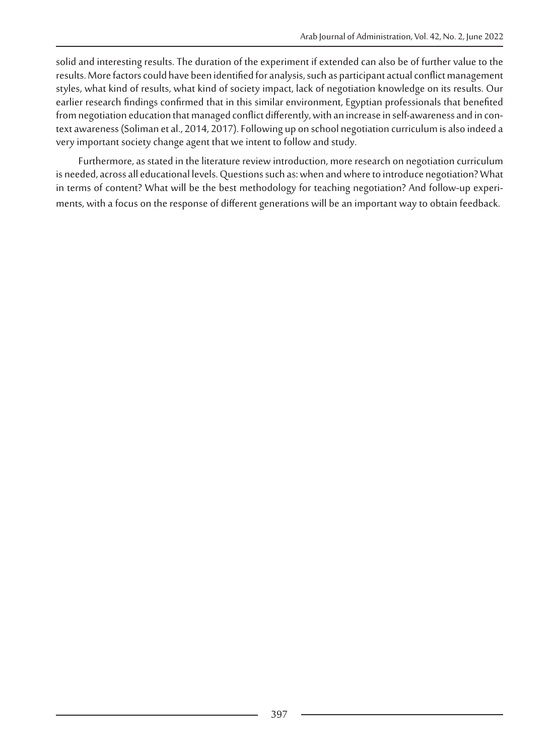solid and interesting results. The duration of the experiment if extended can also be of further value to the results. More factors could have been identified for analysis, such as participant actual conflict management styles, what kind of results, what kind of society impact, lack of negotiation knowledge on its results. Our earlier research findings confirmed that in this similar environment, Egyptian professionals that benefited<br>from negotiation education that managed conflict differently, with an increase in self-awareness and in context awareness (Soliman et al., 2014, 2017). Following up on school negotiation curriculum is also indeed a very important society change agent that we intent to follow and study.

Furthermore, as stated in the literature review introduction, more research on negotiation curriculum is needed, across all educational levels. Questions such as: when and where to introduce negotiation? What in terms of content? What will be the best methodology for teaching negotiation? And follow-up experiments, with a focus on the response of different generations will be an important way to obtain feedback.